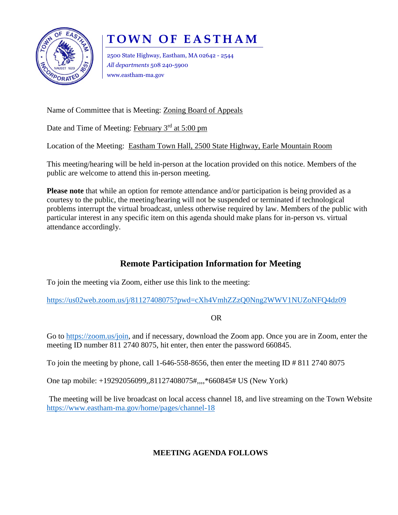

## **T O W N O F E A S T H A M**

2500 State Highway, Eastham, MA 02642 - 2544 *All departments* 508 240-5900 www.eastham-ma.gov

Name of Committee that is Meeting: Zoning Board of Appeals

Date and Time of Meeting: February 3<sup>rd</sup> at 5:00 pm

Location of the Meeting: Eastham Town Hall, 2500 State Highway, Earle Mountain Room

This meeting/hearing will be held in-person at the location provided on this notice. Members of the public are welcome to attend this in-person meeting.

**Please note** that while an option for remote attendance and/or participation is being provided as a courtesy to the public, the meeting/hearing will not be suspended or terminated if technological problems interrupt the virtual broadcast, unless otherwise required by law. Members of the public with particular interest in any specific item on this agenda should make plans for in-person vs. virtual attendance accordingly.

## **Remote Participation Information for Meeting**

To join the meeting via Zoom, either use this link to the meeting:

<https://us02web.zoom.us/j/81127408075?pwd=cXh4VmhZZzQ0Nng2WWV1NUZoNFQ4dz09>

OR

Go to [https://zoom.us/join,](https://zoom.us/join) and if necessary, download the Zoom app. Once you are in Zoom, enter the meeting ID number 811 2740 8075, hit enter, then enter the password 660845.

To join the meeting by phone, call 1-646-558-8656, then enter the meeting ID  $\#$  811 2740 8075

One tap mobile: +19292056099,,81127408075#,,,,\*660845# US (New York)

The meeting will be live broadcast on local access channel 18, and live streaming on the Town Website <https://www.eastham-ma.gov/home/pages/channel-18>

## **MEETING AGENDA FOLLOWS**